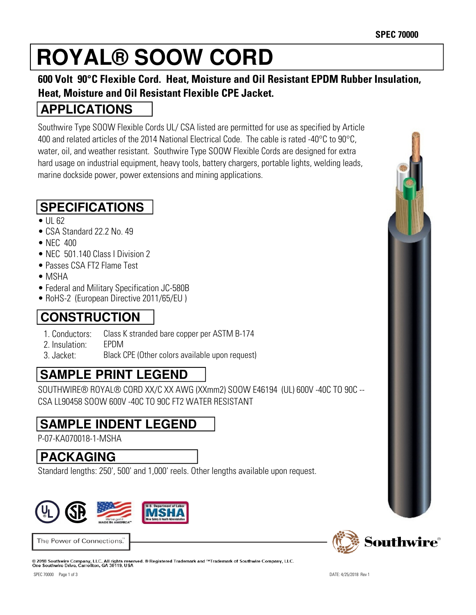# **ROYAL® SOOW CORD**

#### **600 Volt 90°C Flexible Cord. Heat, Moisture and Oil Resistant EPDM Rubber Insulation, Heat, Moisture and Oil Resistant Flexible CPE Jacket.**

#### **APPLICATIONS**

Southwire Type SOOW Flexible Cords UL/ CSA listed are permitted for use as specified by Article 400 and related articles of the 2014 National Electrical Code. The cable is rated -40°C to 90°C, water, oil, and weather resistant. Southwire Type SOOW Flexible Cords are designed for extra hard usage on industrial equipment, heavy tools, battery chargers, portable lights, welding leads, marine dockside power, power extensions and mining applications.

## **SPECIFICATIONS**

- UL 62
- CSA Standard 22.2 No. 49
- $\bullet$  NFC 400
- NFC 501.140 Class | Division 2
- Passes CSA FT2 Flame Test
- MSHA
- Federal and Military Specification JC-580B
- RoHS-2 (European Directive 2011/65/EU)

# **CONSTRUCTION**

- 1. Conductors: Class K stranded bare copper per ASTM B-174
- 2. Insulation: EPDM
- 3. Jacket: Black CPE (Other colors available upon request)

# **SAMPLE PRINT LEGEND**

SOUTHWIRE® ROYAL® CORD XX/C XX AWG (XXmm2) SOOW E46194 (UL) 600V -40C TO 90C -- CSA LL90458 SOOW 600V -40C TO 90C FT2 WATER RESISTANT

### **SAMPLE INDENT LEGEND**

P-07-KA070018-1-MSHA

### **PACKAGING**

Standard lengths: 250', 500' and 1,000' reels. Other lengths available upon request.



The Power of Connections.

© 2018 Southwire Company, LLC. All rights reserved. ® Registered Trademark and ™Trademark of Southwire Company, LLC.<br>One Southwire Drive, Carrollton, GA 30119, USA

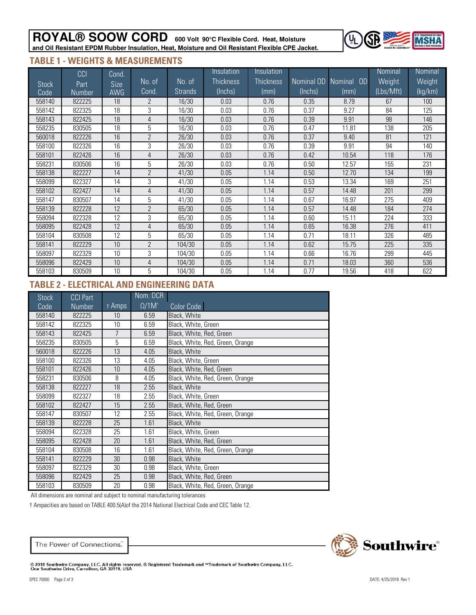#### **ROYAL® SOOW CORD 600 Volt 90°C Flexible Cord. Heat, Moisture and Oil Resistant EPDM Rubber Insulation, Heat, Moisture and Oil Resistant Flexible CPE Jacket.**



#### **TABLE 1 - WEIGHTS & MEASUREMENTS**

|              | CCI           | Cond.       |                |                | Insulation       | Insulation       |            |                             | <b>Nominal</b> | Nominal         |
|--------------|---------------|-------------|----------------|----------------|------------------|------------------|------------|-----------------------------|----------------|-----------------|
| <b>Stock</b> | Part          | <b>Size</b> | No. of         | No. of         | <b>Thickness</b> | <b>Thickness</b> | Nominal OD | <b>OD</b><br><b>Nominal</b> | Weight         | Weight          |
| Code         | <b>Number</b> | <b>AWG</b>  | Cond.          | <b>Strands</b> | (Inchs)          | (mm)             | (Inchs)    | (mm)                        | (Lbs/Mft)      | $\frac{kg}{km}$ |
| 558140       | 822225        | 18          | $\overline{2}$ | 16/30          | 0.03             | 0.76             | 0.35       | 8.79                        | 67             | 100             |
| 558142       | 822325        | 18          | 3              | 16/30          | 0.03             | 0.76             | 0.37       | 9.27                        | 84             | 125             |
| 558143       | 822425        | 18          | 4              | 16/30          | 0.03             | 0.76             | 0.39       | 9.91                        | 98             | 146             |
| 558235       | 830505        | 18          | 5              | 16/30          | 0.03             | 0.76             | 0.47       | 11.81                       | 138            | 205             |
| 560018       | 822226        | 16          | $\overline{2}$ | 26/30          | 0.03             | 0.76             | 0.37       | 9.40                        | 81             | 121             |
| 558100       | 822326        | 16          | 3              | 26/30          | 0.03             | 0.76             | 0.39       | 9.91                        | 94             | 140             |
| 558101       | 822426        | 16          | $\overline{4}$ | 26/30          | 0.03             | 0.76             | 0.42       | 10.54                       | 118            | 176             |
| 558231       | 830506        | 16          | 5              | 26/30          | 0.03             | 0.76             | 0.50       | 12.57                       | 155            | 231             |
| 558138       | 822227        | 14          | $\overline{2}$ | 41/30          | 0.05             | 1.14             | 0.50       | 12.70                       | 134            | 199             |
| 558099       | 822327        | 14          | 3              | 41/30          | 0.05             | 1.14             | 0.53       | 13.34                       | 169            | 251             |
| 558102       | 822427        | 14          | 4              | 41/30          | 0.05             | 1.14             | 0.57       | 14.48                       | 201            | 299             |
| 558147       | 830507        | 14          | 5              | 41/30          | 0.05             | 1.14             | 0.67       | 16.97                       | 275            | 409             |
| 558139       | 822228        | 12          | $\overline{2}$ | 65/30          | 0.05             | 1.14             | 0.57       | 14.48                       | 184            | 274             |
| 558094       | 822328        | 12          | 3              | 65/30          | 0.05             | 1.14             | 0.60       | 15.11                       | 224            | 333             |
| 558095       | 822428        | 12          | 4              | 65/30          | 0.05             | 1.14             | 0.65       | 16.38                       | 276            | 411             |
| 558104       | 830508        | 12          | 5              | 65/30          | 0.05             | 1.14             | 0.71       | 18.11                       | 326            | 485             |
| 558141       | 822229        | 10          | $\overline{2}$ | 104/30         | 0.05             | 1.14             | 0.62       | 15.75                       | 225            | 335             |
| 558097       | 822329        | 10          | 3              | 104/30         | 0.05             | 1.14             | 0.66       | 16.76                       | 299            | 445             |
| 558096       | 822429        | 10          | 4              | 104/30         | 0.05             | 1.14             | 0.71       | 18.03                       | 360            | 536             |
| 558103       | 830509        | 10          | 5              | 104/30         | 0.05             | 1.14             | 0.77       | 19.56                       | 418            | 622             |

#### **TABLE 2 - ELECTRICAL AND ENGINEERING DATA**

| <b>Stock</b> | <b>CCI Part</b> |        | Nom. DCR      |                                  |
|--------------|-----------------|--------|---------------|----------------------------------|
| Code         | <b>Number</b>   | † Amps | $\Omega/1$ M' | Color Code                       |
| 558140       | 822225          | 10     | 6.59          | Black, White                     |
| 558142       | 822325          | 10     | 6.59          | Black, White, Green              |
| 558143       | 822425          | 7      | 6.59          | Black, White, Red, Green         |
| 558235       | 830505          | 5      | 6.59          | Black, White, Red, Green, Orange |
| 560018       | 822226          | 13     | 4.05          | Black, White                     |
| 558100       | 822326          | 13     | 4.05          | Black, White, Green              |
| 558101       | 822426          | 10     | 4.05          | Black, White, Red, Green         |
| 558231       | 830506          | 8      | 4.05          | Black, White, Red, Green, Orange |
| 558138       | 822227          | 18     | 2.55          | Black, White                     |
| 558099       | 822327          | 18     | 2.55          | Black, White, Green              |
| 558102       | 822427          | 15     | 2.55          | Black, White, Red, Green         |
| 558147       | 830507          | 12     | 2.55          | Black, White, Red, Green, Orange |
| 558139       | 822228          | 25     | 1.61          | Black, White                     |
| 558094       | 822328          | 25     | 1.61          | Black, White, Green              |
| 558095       | 822428          | 20     | 1.61          | Black, White, Red, Green         |
| 558104       | 830508          | 16     | 1.61          | Black, White, Red, Green, Orange |
| 558141       | 822229          | 30     | 0.98          | Black, White                     |
| 558097       | 822329          | 30     | 0.98          | Black, White, Green              |
| 558096       | 822429          | 25     | 0.98          | Black, White, Red, Green         |
| 558103       | 830509          | 20     | 0.98          | Black, White, Red, Green, Orange |

All dimensions are nominal and subject to nominal manufacturing tolerances

† Ampacities are based on TABLE 400.5(A)of the 2014 National Electrical Code and CEC Table 12.



The Power of Connections.

© 2018 Southwire Company, LLC. All rights reserved. ® Registered Trademark and ™Trademark of Southwire Company, LLC.<br>One Southwire Drive, Carrollton, GA 30119, USA